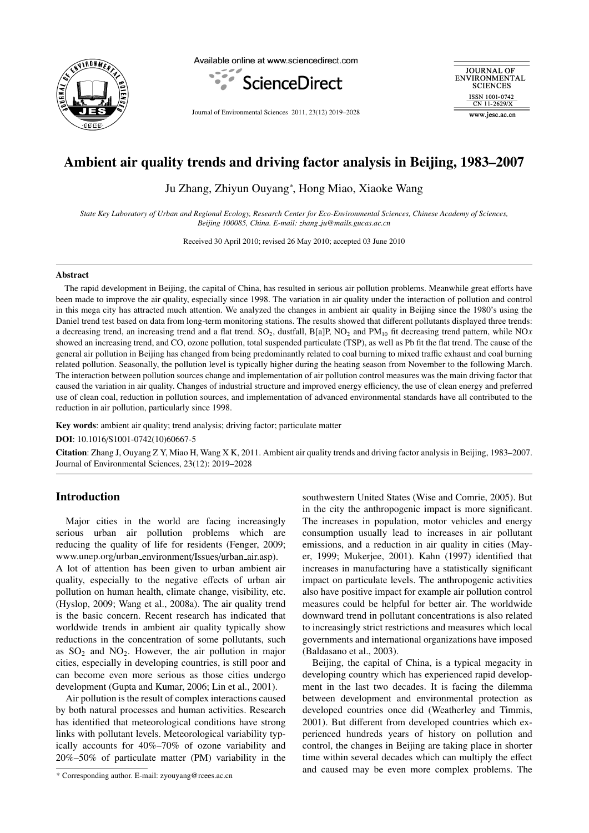

Available online at www.sciencedirect.com



Journal of Environmental Sciences 2011, 23(12) 2019–2028

**JOURNAL OF** ENVIRONMENTAL **SCIENCES** ISSN 1001-0742 CN 11-2629/X www.iesc.ac.cn

# Ambient air quality trends and driving factor analysis in Beijing, 1983–2007

Ju Zhang, Zhiyun Ouyang<sup>∗</sup> , Hong Miao, Xiaoke Wang

*State Key Laboratory of Urban and Regional Ecology, Research Center for Eco-Environmental Sciences, Chinese Academy of Sciences, Beijing 100085, China. E-mail: zhang ju@mails.gucas.ac.cn*

Received 30 April 2010; revised 26 May 2010; accepted 03 June 2010

## Abstract

The rapid development in Beijing, the capital of China, has resulted in serious air pollution problems. Meanwhile great efforts have been made to improve the air quality, especially since 1998. The variation in air quality under the interaction of pollution and control in this mega city has attracted much attention. We analyzed the changes in ambient air quality in Beijing since the 1980's using the Daniel trend test based on data from long-term monitoring stations. The results showed that different pollutants displayed three trends: a decreasing trend, an increasing trend and a flat trend.  $SO_2$ , dustfall,  $B[a]P, NO_2$  and  $PM_{10}$  fit decreasing trend pattern, while NO*x* showed an increasing trend, and CO, ozone pollution, total suspended particulate (TSP), as well as Pb fit the flat trend. The cause of the general air pollution in Beijing has changed from being predominantly related to coal burning to mixed traffic exhaust and coal burning related pollution. Seasonally, the pollution level is typically higher during the heating season from November to the following March. The interaction between pollution sources change and implementation of air pollution control measures was the main driving factor that caused the variation in air quality. Changes of industrial structure and improved energy efficiency, the use of clean energy and preferred use of clean coal, reduction in pollution sources, and implementation of advanced environmental standards have all contributed to the reduction in air pollution, particularly since 1998.

Key words: ambient air quality; trend analysis; driving factor; particulate matter

DOI: 10.1016/S1001-0742(10)60667-5

Citation: Zhang J, Ouyang Z Y, Miao H, Wang X K, 2011. Ambient air quality trends and driving factor analysis in Beijing, 1983–2007. Journal of Environmental Sciences, 23(12): 2019–2028

# Introduction

Major cities in the world are facing increasingly serious urban air pollution problems which are reducing the quality of life for residents (Fenger, 2009; www.unep.org/urban environment/Issues/urban air.asp).

A lot of attention has been given to urban ambient air quality, especially to the negative effects of urban air pollution on human health, climate change, visibility, etc. (Hyslop, 2009; Wang et al., 2008a). The air quality trend is the basic concern. Recent research has indicated that worldwide trends in ambient air quality typically show reductions in the concentration of some pollutants, such as  $SO_2$  and  $NO_2$ . However, the air pollution in major cities, especially in developing countries, is still poor and can become even more serious as those cities undergo development (Gupta and Kumar, 2006; Lin et al., 2001).

Air pollution is the result of complex interactions caused by both natural processes and human activities. Research has identified that meteorological conditions have strong links with pollutant levels. Meteorological variability typically accounts for 40%–70% of ozone variability and 20%–50% of particulate matter (PM) variability in the

\* Corresponding author. E-mail: zyouyang@rcees.ac.cn

southwestern United States (Wise and Comrie, 2005). But in the city the anthropogenic impact is more significant. The increases in population, motor vehicles and energy consumption usually lead to increases in air pollutant emissions, and a reduction in air quality in cities (Mayer, 1999; Mukerjee, 2001). Kahn (1997) identified that increases in manufacturing have a statistically significant impact on particulate levels. The anthropogenic activities also have positive impact for example air pollution control measures could be helpful for better air. The worldwide downward trend in pollutant concentrations is also related to increasingly strict restrictions and measures which local governments and international organizations have imposed (Baldasano et al., 2003).

Beijing, the capital of China, is a typical megacity in developing country which has experienced rapid development in the last two decades. It is facing the dilemma between development and environmental protection as developed countries once did (Weatherley and Timmis, 2001). But different from developed countries which experienced hundreds years of history on pollution and control, the changes in Beijing are taking place in shorter time within several decades which can multiply the effect and caused may be even more complex problems. The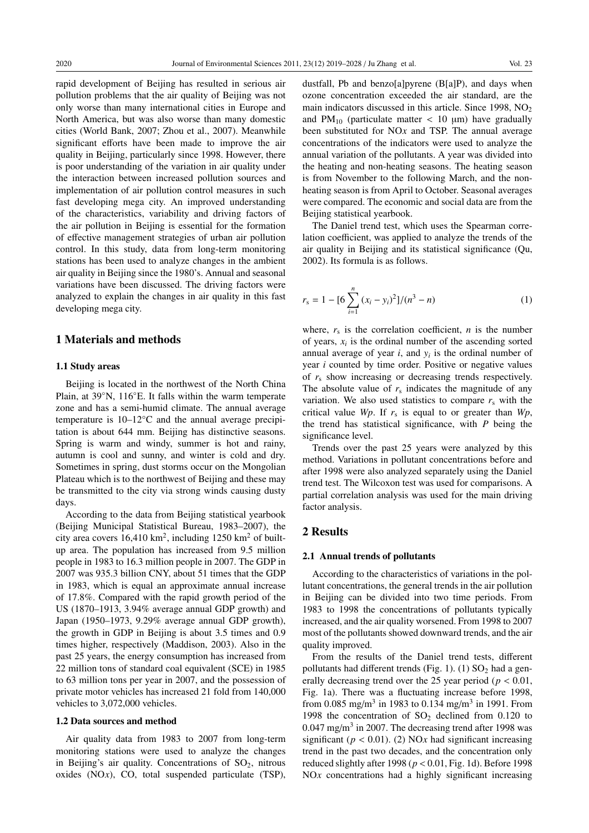rapid development of Beijing has resulted in serious air pollution problems that the air quality of Beijing was not only worse than many international cities in Europe and North America, but was also worse than many domestic cities (World Bank, 2007; Zhou et al., 2007). Meanwhile significant efforts have been made to improve the air quality in Beijing, particularly since 1998. However, there is poor understanding of the variation in air quality under the interaction between increased pollution sources and implementation of air pollution control measures in such fast developing mega city. An improved understanding of the characteristics, variability and driving factors of the air pollution in Beijing is essential for the formation of effective management strategies of urban air pollution control. In this study, data from long-term monitoring stations has been used to analyze changes in the ambient air quality in Beijing since the 1980's. Annual and seasonal variations have been discussed. The driving factors were analyzed to explain the changes in air quality in this fast developing mega city.

## 1 Materials and methods

#### 1.1 Study areas

Beijing is located in the northwest of the North China Plain, at 39◦N, 116◦E. It falls within the warm temperate zone and has a semi-humid climate. The annual average temperature is 10–12°C and the annual average precipitation is about 644 mm. Beijing has distinctive seasons. Spring is warm and windy, summer is hot and rainy, autumn is cool and sunny, and winter is cold and dry. Sometimes in spring, dust storms occur on the Mongolian Plateau which is to the northwest of Beijing and these may be transmitted to the city via strong winds causing dusty days.

According to the data from Beijing statistical yearbook (Beijing Municipal Statistical Bureau, 1983–2007), the city area covers  $16,410 \text{ km}^2$ , including  $1250 \text{ km}^2$  of builtup area. The population has increased from 9.5 million people in 1983 to 16.3 million people in 2007. The GDP in 2007 was 935.3 billion CNY, about 51 times that the GDP in 1983, which is equal an approximate annual increase of 17.8%. Compared with the rapid growth period of the US (1870–1913, 3.94% average annual GDP growth) and Japan (1950–1973, 9.29% average annual GDP growth), the growth in GDP in Beijing is about 3.5 times and 0.9 times higher, respectively (Maddison, 2003). Also in the past 25 years, the energy consumption has increased from 22 million tons of standard coal equivalent (SCE) in 1985 to 63 million tons per year in 2007, and the possession of private motor vehicles has increased 21 fold from 140,000 vehicles to 3,072,000 vehicles.

#### 1.2 Data sources and method

Air quality data from 1983 to 2007 from long-term monitoring stations were used to analyze the changes in Beijing's air quality. Concentrations of  $SO<sub>2</sub>$ , nitrous oxides (NO*x*), CO, total suspended particulate (TSP), dustfall, Pb and benzo[a]pyrene  $(B[a]P)$ , and days when ozone concentration exceeded the air standard, are the main indicators discussed in this article. Since  $1998$ ,  $NO<sub>2</sub>$ and  $PM_{10}$  (particulate matter  $< 10 \mu m$ ) have gradually been substituted for NO*x* and TSP. The annual average concentrations of the indicators were used to analyze the annual variation of the pollutants. A year was divided into the heating and non-heating seasons. The heating season is from November to the following March, and the nonheating season is from April to October. Seasonal averages were compared. The economic and social data are from the Beijing statistical yearbook.

The Daniel trend test, which uses the Spearman correlation coefficient, was applied to analyze the trends of the air quality in Beijing and its statistical significance (Qu, 2002). Its formula is as follows.

$$
r_{s} = 1 - [6 \sum_{i=1}^{n} (x_{i} - y_{i})^{2}]/(n^{3} - n)
$$
 (1)

where,  $r_s$  is the correlation coefficient,  $n$  is the number of years, *xi* is the ordinal number of the ascending sorted annual average of year  $i$ , and  $y_i$  is the ordinal number of year *i* counted by time order. Positive or negative values of *r*<sup>s</sup> show increasing or decreasing trends respectively. The absolute value of  $r<sub>s</sub>$  indicates the magnitude of any variation. We also used statistics to compare  $r<sub>s</sub>$  with the critical value *Wp*. If  $r_s$  is equal to or greater than *Wp*, the trend has statistical significance, with *P* being the significance level.

Trends over the past 25 years were analyzed by this method. Variations in pollutant concentrations before and after 1998 were also analyzed separately using the Daniel trend test. The Wilcoxon test was used for comparisons. A partial correlation analysis was used for the main driving factor analysis.

## 2 Results

#### 2.1 Annual trends of pollutants

According to the characteristics of variations in the pollutant concentrations, the general trends in the air pollution in Beijing can be divided into two time periods. From 1983 to 1998 the concentrations of pollutants typically increased, and the air quality worsened. From 1998 to 2007 most of the pollutants showed downward trends, and the air quality improved.

From the results of the Daniel trend tests, different pollutants had different trends (Fig. 1). (1)  $SO<sub>2</sub>$  had a generally decreasing trend over the 25 year period ( $p < 0.01$ , Fig. 1a). There was a fluctuating increase before 1998, from 0.085 mg/m<sup>3</sup> in 1983 to 0.134 mg/m<sup>3</sup> in 1991. From 1998 the concentration of  $SO_2$  declined from 0.120 to  $0.047 \text{ mg/m}^3$  in 2007. The decreasing trend after 1998 was significant ( $p < 0.01$ ). (2) NOx had significant increasing trend in the past two decades, and the concentration only reduced slightly after 1998 (*p* < 0.01, Fig. 1d). Before 1998 NO<sub>x</sub> concentrations had a highly significant increasing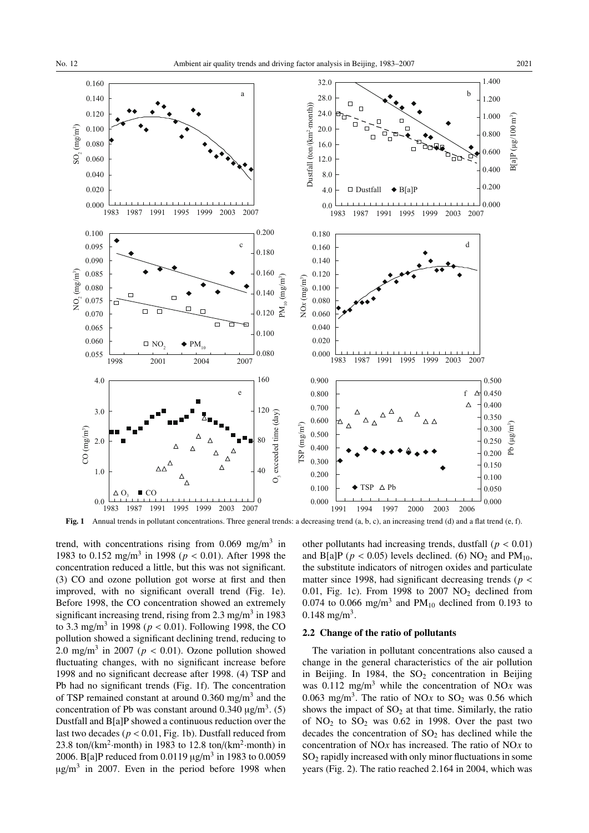

Fig. 1 Annual trends in pollutant concentrations. Three general trends: a decreasing trend (a, b, c), an increasing trend (d) and a flat trend (e, f).

trend, with concentrations rising from  $0.069$  mg/m<sup>3</sup> in 1983 to 0.152 mg/m3 in 1998 (*p* < 0.01). After 1998 the concentration reduced a little, but this was not significant. (3) CO and ozone pollution got worse at first and then improved, with no significant overall trend (Fig. 1e). Before 1998, the CO concentration showed an extremely significant increasing trend, rising from  $2.3 \text{ mg/m}^3$  in 1983 to 3.3 mg/m<sup>3</sup> in 1998 ( $p < 0.01$ ). Following 1998, the CO pollution showed a significant declining trend, reducing to 2.0 mg/m<sup>3</sup> in 2007 ( $p < 0.01$ ). Ozone pollution showed fluctuating changes, with no significant increase before 1998 and no significant decrease after 1998. (4) TSP and Pb had no significant trends (Fig. 1f). The concentration of TSP remained constant at around  $0.360$  mg/m<sup>3</sup> and the concentration of Pb was constant around  $0.340 \text{ µg/m}^3$ . (5) Dustfall and B[a]P showed a continuous reduction over the last two decades ( $p < 0.01$ , Fig. 1b). Dustfall reduced from 23.8 ton/( $km^2$ ·month) in 1983 to 12.8 ton/( $km^2$ ·month) in 2006. B[a]P reduced from 0.0119  $\mu$ g/m<sup>3</sup> in 1983 to 0.0059  $\mu$ g/m<sup>3</sup> in 2007. Even in the period before 1998 when

other pollutants had increasing trends, dustfall ( $p < 0.01$ ) and B[a]P ( $p < 0.05$ ) levels declined. (6) NO<sub>2</sub> and PM<sub>10</sub>, the substitute indicators of nitrogen oxides and particulate matter since 1998, had significant decreasing trends (*p* < 0.01, Fig. 1c). From 1998 to 2007  $NO<sub>2</sub>$  declined from 0.074 to 0.066 mg/m<sup>3</sup> and PM<sub>10</sub> declined from 0.193 to  $0.148$  mg/m<sup>3</sup>.

#### 2.2 Change of the ratio of pollutants

The variation in pollutant concentrations also caused a change in the general characteristics of the air pollution in Beijing. In 1984, the  $SO<sub>2</sub>$  concentration in Beijing was  $0.112 \text{ mg/m}^3$  while the concentration of NO $x$  was 0.063 mg/m<sup>3</sup>. The ratio of NO*x* to  $SO_2$  was 0.56 which shows the impact of  $SO<sub>2</sub>$  at that time. Similarly, the ratio of NO<sub>2</sub> to SO<sub>2</sub> was  $0.62$  in 1998. Over the past two decades the concentration of  $SO<sub>2</sub>$  has declined while the concentration of NO*x* has increased. The ratio of NO*x* to SO2 rapidly increased with only minor fluctuations in some years (Fig. 2). The ratio reached 2.164 in 2004, which was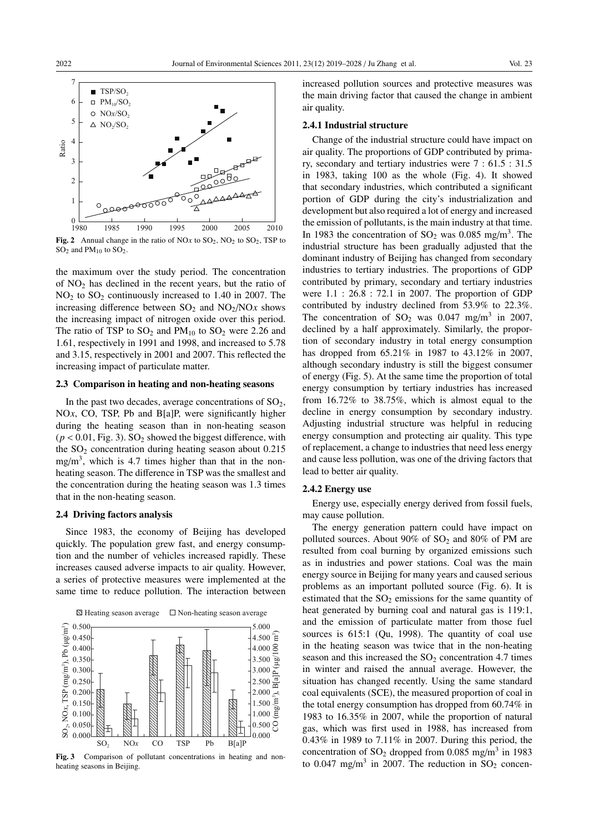

 $SO<sub>2</sub>$  and PM<sub>10</sub> to  $SO<sub>2</sub>$ .

the maximum over the study period. The concentration of NO2 has declined in the recent years, but the ratio of NO2 to SO2 continuously increased to 1.40 in 2007. The increasing difference between  $SO_2$  and  $NO_2/NOx$  shows the increasing impact of nitrogen oxide over this period. The ratio of TSP to  $SO_2$  and  $PM_{10}$  to  $SO_2$  were 2.26 and 1.61, respectively in 1991 and 1998, and increased to 5.78 and 3.15, respectively in 2001 and 2007. This reflected the increasing impact of particulate matter.

## 2.3 Comparison in heating and non-heating seasons

In the past two decades, average concentrations of  $SO<sub>2</sub>$ , NO<sub>x</sub>, CO, TSP, Pb and B[a]P, were significantly higher during the heating season than in non-heating season  $(p < 0.01$ , Fig. 3). SO<sub>2</sub> showed the biggest difference, with the  $SO<sub>2</sub>$  concentration during heating season about 0.215 mg/m<sup>3</sup>, which is 4.7 times higher than that in the nonheating season. The difference in TSP was the smallest and the concentration during the heating season was 1.3 times that in the non-heating season.

#### 2.4 Driving factors analysis

Since 1983, the economy of Beijing has developed quickly. The population grew fast, and energy consumption and the number of vehicles increased rapidly. These increases caused adverse impacts to air quality. However, a series of protective measures were implemented at the same time to reduce pollution. The interaction between



Fig. 3 Comparison of pollutant concentrations in heating and nonheating seasons in Beijing.

increased pollution sources and protective measures was the main driving factor that caused the change in ambient air quality.

#### 2.4.1 Industrial structure

Change of the industrial structure could have impact on air quality. The proportions of GDP contributed by primary, secondary and tertiary industries were 7 : 61.5 : 31.5 in 1983, taking 100 as the whole (Fig. 4). It showed that secondary industries, which contributed a significant portion of GDP during the city's industrialization and development but also required a lot of energy and increased the emission of pollutants, is the main industry at that time. In 1983 the concentration of  $SO_2$  was 0.085 mg/m<sup>3</sup>. The industrial structure has been gradually adjusted that the dominant industry of Beijing has changed from secondary industries to tertiary industries. The proportions of GDP contributed by primary, secondary and tertiary industries were 1.1 : 26.8 : 72.1 in 2007. The proportion of GDP contributed by industry declined from 53.9% to 22.3%. The concentration of  $SO_2$  was 0.047 mg/m<sup>3</sup> in 2007, declined by a half approximately. Similarly, the proportion of secondary industry in total energy consumption has dropped from 65.21% in 1987 to 43.12% in 2007, although secondary industry is still the biggest consumer of energy (Fig. 5). At the same time the proportion of total energy consumption by tertiary industries has increased from 16.72% to 38.75%, which is almost equal to the decline in energy consumption by secondary industry. Adjusting industrial structure was helpful in reducing energy consumption and protecting air quality. This type of replacement, a change to industries that need less energy and cause less pollution, was one of the driving factors that lead to better air quality.

#### 2.4.2 Energy use

Energy use, especially energy derived from fossil fuels, may cause pollution.

The energy generation pattern could have impact on polluted sources. About 90% of  $SO_2$  and 80% of PM are resulted from coal burning by organized emissions such as in industries and power stations. Coal was the main energy source in Beijing for many years and caused serious problems as an important polluted source (Fig. 6). It is estimated that the  $SO<sub>2</sub>$  emissions for the same quantity of heat generated by burning coal and natural gas is 119:1, and the emission of particulate matter from those fuel sources is 615:1 (Qu, 1998). The quantity of coal use in the heating season was twice that in the non-heating season and this increased the  $SO<sub>2</sub>$  concentration 4.7 times in winter and raised the annual average. However, the situation has changed recently. Using the same standard coal equivalents (SCE), the measured proportion of coal in the total energy consumption has dropped from 60.74% in 1983 to 16.35% in 2007, while the proportion of natural gas, which was first used in 1988, has increased from 0.43% in 1989 to 7.11% in 2007. During this period, the concentration of  $SO_2$  dropped from 0.085 mg/m<sup>3</sup> in 1983 to 0.047 mg/m<sup>3</sup> in 2007. The reduction in  $SO_2$  concen-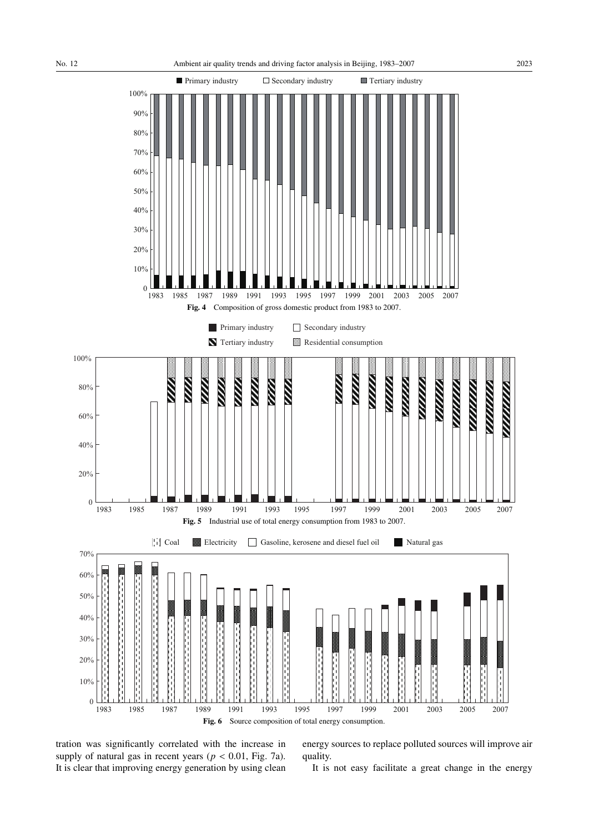

tration was significantly correlated with the increase in supply of natural gas in recent years ( $p < 0.01$ , Fig. 7a). It is clear that improving energy generation by using clean

energy sources to replace polluted sources will improve air quality.

It is not easy facilitate a great change in the energy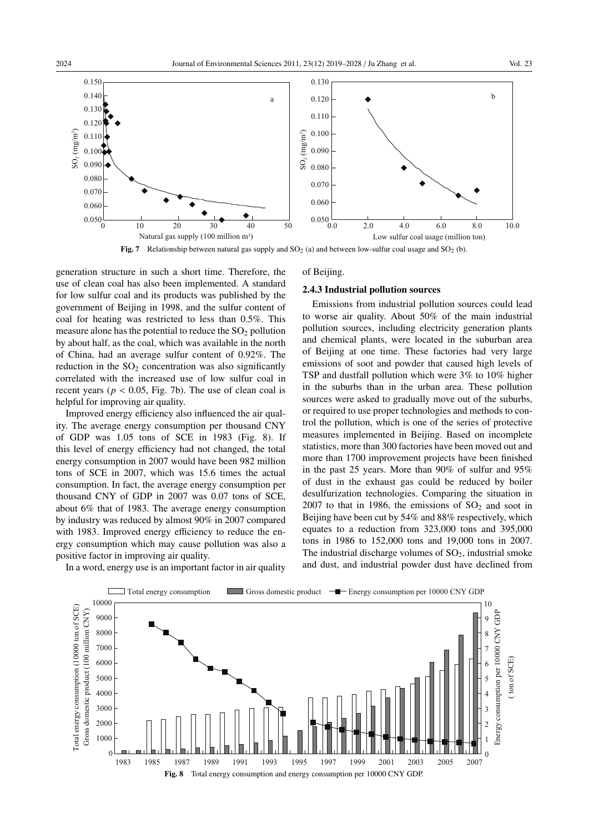

Fig. 7 Relationship between natural gas supply and  $SO_2$  (a) and between low-sulfur coal usage and  $SO_2$  (b).

generation structure in such a short time. Therefore, the use of clean coal has also been implemented. A standard for low sulfur coal and its products was published by the government of Beijing in 1998, and the sulfur content of coal for heating was restricted to less than 0.5%. This measure alone has the potential to reduce the  $SO<sub>2</sub>$  pollution by about half, as the coal, which was available in the north of China, had an average sulfur content of 0.92%. The reduction in the  $SO<sub>2</sub>$  concentration was also significantly correlated with the increased use of low sulfur coal in recent years ( $p < 0.05$ , Fig. 7b). The use of clean coal is helpful for improving air quality.

Improved energy efficiency also influenced the air quality. The average energy consumption per thousand CNY of GDP was 1.05 tons of SCE in 1983 (Fig. 8). If this level of energy efficiency had not changed, the total energy consumption in 2007 would have been 982 million tons of SCE in 2007, which was 15.6 times the actual consumption. In fact, the average energy consumption per thousand CNY of GDP in 2007 was 0.07 tons of SCE, about 6% that of 1983. The average energy consumption by industry was reduced by almost 90% in 2007 compared with 1983. Improved energy efficiency to reduce the energy consumption which may cause pollution was also a positive factor in improving air quality.

of Beijing.

### 2.4.3 Industrial pollution sources

Emissions from industrial pollution sources could lead to worse air quality. About 50% of the main industrial pollution sources, including electricity generation plants and chemical plants, were located in the suburban area of Beijing at one time. These factories had very large emissions of soot and powder that caused high levels of TSP and dustfall pollution which were 3% to 10% higher in the suburbs than in the urban area. These pollution sources were asked to gradually move out of the suburbs, or required to use proper technologies and methods to control the pollution, which is one of the series of protective measures implemented in Beijing. Based on incomplete statistics, more than 300 factories have been moved out and more than 1700 improvement projects have been finished in the past 25 years. More than 90% of sulfur and 95% of dust in the exhaust gas could be reduced by boiler desulfurization technologies. Comparing the situation in 2007 to that in 1986, the emissions of  $SO<sub>2</sub>$  and soot in Beijing have been cut by 54% and 88% respectively, which equates to a reduction from 323,000 tons and 395,000 tons in 1986 to 152,000 tons and 19,000 tons in 2007. The industrial discharge volumes of  $SO<sub>2</sub>$ , industrial smoke and dust, and industrial powder dust have declined from

> Energy consumption per 10000 CNY GDP ( ton of SCE)

Energy consumption per 10000 CNY GDP ton of SCE)



In a word, energy use is an important factor in air quality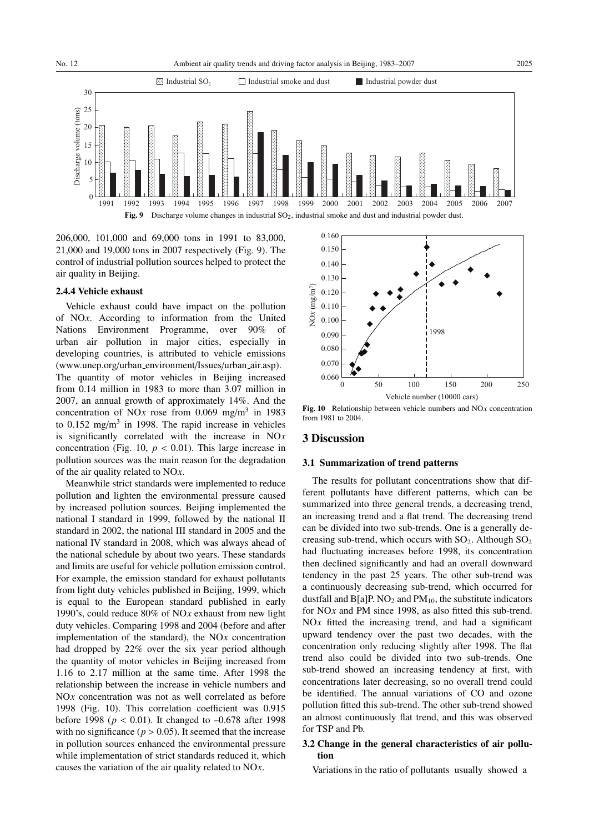

206,000, 101,000 and 69,000 tons in 1991 to 83,000, 21,000 and 19,000 tons in 2007 respectively (Fig. 9). The control of industrial pollution sources helped to protect the air quality in Beijing.

#### 2.4.4 Vehicle exhaust

Vehicle exhaust could have impact on the pollution of NO*x*. According to information from the United Nations Environment Programme, over 90% of urban air pollution in major cities, especially in developing countries, is attributed to vehicle emissions (www.unep.org/urban environment/Issues/urban air.asp). The quantity of motor vehicles in Beijing increased

from 0.14 million in 1983 to more than 3.07 million in 2007, an annual growth of approximately 14%. And the concentration of NO*x* rose from 0.069 mg/m<sup>3</sup> in 1983 to  $0.152 \text{ mg/m}^3$  in 1998. The rapid increase in vehicles is significantly correlated with the increase in NO*x* concentration (Fig. 10,  $p < 0.01$ ). This large increase in pollution sources was the main reason for the degradation of the air quality related to NO*x*.

Meanwhile strict standards were implemented to reduce pollution and lighten the environmental pressure caused by increased pollution sources. Beijing implemented the national I standard in 1999, followed by the national II standard in 2002, the national III standard in 2005 and the national IV standard in 2008, which was always ahead of the national schedule by about two years. These standards and limits are useful for vehicle pollution emission control. For example, the emission standard for exhaust pollutants from light duty vehicles published in Beijing, 1999, which is equal to the European standard published in early 1990's, could reduce 80% of NO*x* exhaust from new light duty vehicles. Comparing 1998 and 2004 (before and after implementation of the standard), the NO*x* concentration had dropped by 22% over the six year period although the quantity of motor vehicles in Beijing increased from 1.16 to 2.17 million at the same time. After 1998 the relationship between the increase in vehicle numbers and NO<sub>x</sub> concentration was not as well correlated as before 1998 (Fig. 10). This correlation coefficient was 0.915 before 1998 (*p* < 0.01). It changed to –0.678 after 1998 with no significance ( $p > 0.05$ ). It seemed that the increase in pollution sources enhanced the environmental pressure while implementation of strict standards reduced it, which causes the variation of the air quality related to NO*x*.



Fig. 10 Relationship between vehicle numbers and NO*x* concentration from 1981 to 2004.

## 3 Discussion

#### 3.1 Summarization of trend patterns

The results for pollutant concentrations show that different pollutants have different patterns, which can be summarized into three general trends, a decreasing trend, an increasing trend and a flat trend. The decreasing trend can be divided into two sub-trends. One is a generally decreasing sub-trend, which occurs with  $SO_2$ . Although  $SO_2$ had fluctuating increases before 1998, its concentration then declined significantly and had an overall downward tendency in the past 25 years. The other sub-trend was a continuously decreasing sub-trend, which occurred for dustfall and  $B[a]P. NO<sub>2</sub>$  and  $PM<sub>10</sub>$ , the substitute indicators for NO*x* and PM since 1998, as also fitted this sub-trend.  $NOx$  fitted the increasing trend, and had a significant upward tendency over the past two decades, with the concentration only reducing slightly after 1998. The flat trend also could be divided into two sub-trends. One sub-trend showed an increasing tendency at first, with concentrations later decreasing, so no overall trend could be identified. The annual variations of CO and ozone pollution fitted this sub-trend. The other sub-trend showed an almost continuously flat trend, and this was observed for TSP and Pb.

# 3.2 Change in the general characteristics of air pollution

Variations in the ratio of pollutants usually showed a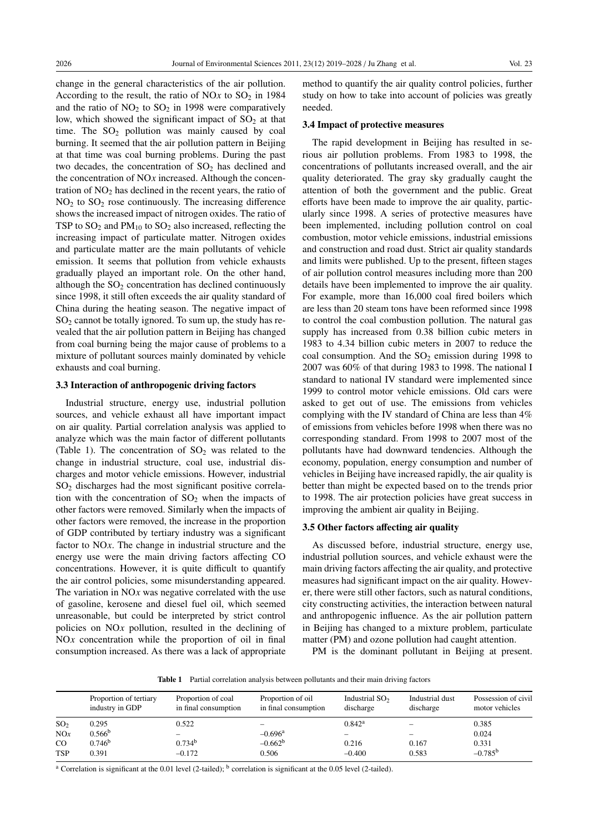change in the general characteristics of the air pollution. According to the result, the ratio of NO $x$  to SO<sub>2</sub> in 1984 and the ratio of  $NO<sub>2</sub>$  to  $SO<sub>2</sub>$  in 1998 were comparatively low, which showed the significant impact of  $SO<sub>2</sub>$  at that time. The  $SO_2$  pollution was mainly caused by coal burning. It seemed that the air pollution pattern in Beijing at that time was coal burning problems. During the past two decades, the concentration of  $SO<sub>2</sub>$  has declined and the concentration of NO*x* increased. Although the concentration of  $NO<sub>2</sub>$  has declined in the recent years, the ratio of  $NO<sub>2</sub>$  to  $SO<sub>2</sub>$  rose continuously. The increasing difference shows the increased impact of nitrogen oxides. The ratio of TSP to  $SO_2$  and  $PM_{10}$  to  $SO_2$  also increased, reflecting the increasing impact of particulate matter. Nitrogen oxides and particulate matter are the main pollutants of vehicle emission. It seems that pollution from vehicle exhausts gradually played an important role. On the other hand, although the  $SO<sub>2</sub>$  concentration has declined continuously since 1998, it still often exceeds the air quality standard of China during the heating season. The negative impact of  $SO<sub>2</sub>$  cannot be totally ignored. To sum up, the study has revealed that the air pollution pattern in Beijing has changed from coal burning being the major cause of problems to a mixture of pollutant sources mainly dominated by vehicle exhausts and coal burning.

### 3.3 Interaction of anthropogenic driving factors

Industrial structure, energy use, industrial pollution sources, and vehicle exhaust all have important impact on air quality. Partial correlation analysis was applied to analyze which was the main factor of different pollutants (Table 1). The concentration of  $SO_2$  was related to the change in industrial structure, coal use, industrial discharges and motor vehicle emissions. However, industrial  $SO<sub>2</sub>$  discharges had the most significant positive correlation with the concentration of  $SO<sub>2</sub>$  when the impacts of other factors were removed. Similarly when the impacts of other factors were removed, the increase in the proportion of GDP contributed by tertiary industry was a significant factor to NO*x*. The change in industrial structure and the energy use were the main driving factors affecting CO concentrations. However, it is quite difficult to quantify the air control policies, some misunderstanding appeared. The variation in NO*x* was negative correlated with the use of gasoline, kerosene and diesel fuel oil, which seemed unreasonable, but could be interpreted by strict control policies on NO*x* pollution, resulted in the declining of NO*x* concentration while the proportion of oil in final consumption increased. As there was a lack of appropriate

method to quantify the air quality control policies, further study on how to take into account of policies was greatly needed.

#### 3.4 Impact of protective measures

The rapid development in Beijing has resulted in serious air pollution problems. From 1983 to 1998, the concentrations of pollutants increased overall, and the air quality deteriorated. The gray sky gradually caught the attention of both the government and the public. Great efforts have been made to improve the air quality, particularly since 1998. A series of protective measures have been implemented, including pollution control on coal combustion, motor vehicle emissions, industrial emissions and construction and road dust. Strict air quality standards and limits were published. Up to the present, fifteen stages of air pollution control measures including more than 200 details have been implemented to improve the air quality. For example, more than 16,000 coal fired boilers which are less than 20 steam tons have been reformed since 1998 to control the coal combustion pollution. The natural gas supply has increased from 0.38 billion cubic meters in 1983 to 4.34 billion cubic meters in 2007 to reduce the coal consumption. And the  $SO<sub>2</sub>$  emission during 1998 to 2007 was 60% of that during 1983 to 1998. The national I standard to national IV standard were implemented since 1999 to control motor vehicle emissions. Old cars were asked to get out of use. The emissions from vehicles complying with the IV standard of China are less than 4% of emissions from vehicles before 1998 when there was no corresponding standard. From 1998 to 2007 most of the pollutants have had downward tendencies. Although the economy, population, energy consumption and number of vehicles in Beijing have increased rapidly, the air quality is better than might be expected based on to the trends prior to 1998. The air protection policies have great success in improving the ambient air quality in Beijing.

#### 3.5 Other factors affecting air quality

As discussed before, industrial structure, energy use, industrial pollution sources, and vehicle exhaust were the main driving factors affecting the air quality, and protective measures had significant impact on the air quality. However, there were still other factors, such as natural conditions, city constructing activities, the interaction between natural and anthropogenic influence. As the air pollution pattern in Beijing has changed to a mixture problem, particulate matter (PM) and ozone pollution had caught attention.

PM is the dominant pollutant in Beijing at present.

Table 1 Partial correlation analysis between pollutants and their main driving factors

|                 | Proportion of tertiary<br>industry in GDP | Proportion of coal<br>in final consumption | Proportion of oil<br>in final consumption | Industrial $SO2$<br>discharge | Industrial dust<br>discharge | Possession of civil<br>motor vehicles |
|-----------------|-------------------------------------------|--------------------------------------------|-------------------------------------------|-------------------------------|------------------------------|---------------------------------------|
| SO <sub>2</sub> | 0.295                                     | 0.522                                      |                                           | $0.842^{\rm a}$               |                              | 0.385                                 |
| NOx             | $0.566^{\rm b}$                           |                                            | $-0.696$ <sup>a</sup>                     |                               |                              | 0.024                                 |
| $_{\rm CO}$     | $0.746^b$                                 | 0.734 <sup>b</sup>                         | $-0.662b$                                 | 0.216                         | 0.167                        | 0.331                                 |
| <b>TSP</b>      | 0.391                                     | $-0.172$                                   | 0.506                                     | $-0.400$                      | 0.583                        | $-0.785^{b}$                          |

<sup>a</sup> Correlation is significant at the 0.01 level (2-tailed); <sup>b</sup> correlation is significant at the 0.05 level (2-tailed).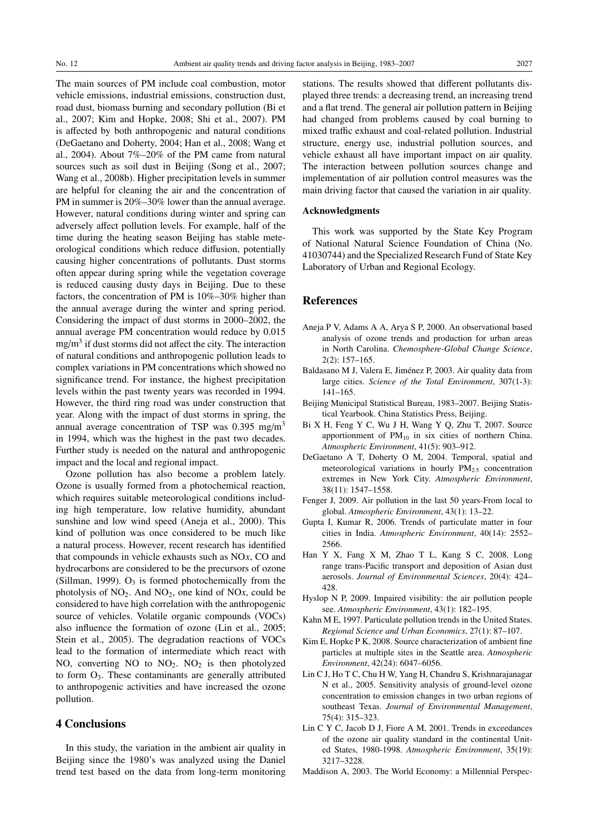The main sources of PM include coal combustion, motor vehicle emissions, industrial emissions, construction dust, road dust, biomass burning and secondary pollution (Bi et al., 2007; Kim and Hopke, 2008; Shi et al., 2007). PM is affected by both anthropogenic and natural conditions (DeGaetano and Doherty, 2004; Han et al., 2008; Wang et al., 2004). About 7%–20% of the PM came from natural sources such as soil dust in Beijing (Song et al., 2007; Wang et al., 2008b). Higher precipitation levels in summer are helpful for cleaning the air and the concentration of PM in summer is 20%–30% lower than the annual average. However, natural conditions during winter and spring can adversely affect pollution levels. For example, half of the time during the heating season Beijing has stable meteorological conditions which reduce diffusion, potentially causing higher concentrations of pollutants. Dust storms often appear during spring while the vegetation coverage is reduced causing dusty days in Beijing. Due to these factors, the concentration of PM is 10%–30% higher than the annual average during the winter and spring period. Considering the impact of dust storms in 2000–2002, the annual average PM concentration would reduce by 0.015  $mg/m<sup>3</sup>$  if dust storms did not affect the city. The interaction of natural conditions and anthropogenic pollution leads to complex variations in PM concentrations which showed no significance trend. For instance, the highest precipitation levels within the past twenty years was recorded in 1994. However, the third ring road was under construction that year. Along with the impact of dust storms in spring, the annual average concentration of TSP was 0.395 mg/m<sup>3</sup> in 1994, which was the highest in the past two decades. Further study is needed on the natural and anthropogenic impact and the local and regional impact.

Ozone pollution has also become a problem lately. Ozone is usually formed from a photochemical reaction, which requires suitable meteorological conditions including high temperature, low relative humidity, abundant sunshine and low wind speed (Aneja et al., 2000). This kind of pollution was once considered to be much like a natural process. However, recent research has identified that compounds in vehicle exhausts such as NO*x*, CO and hydrocarbons are considered to be the precursors of ozone (Sillman, 1999).  $O_3$  is formed photochemically from the photolysis of  $NO<sub>2</sub>$ . And  $NO<sub>2</sub>$ , one kind of  $NO<sub>x</sub>$ , could be considered to have high correlation with the anthropogenic source of vehicles. Volatile organic compounds (VOCs) also influence the formation of ozone (Lin et al., 2005; Stein et al., 2005). The degradation reactions of VOCs lead to the formation of intermediate which react with NO, converting NO to  $NO<sub>2</sub>$ . NO<sub>2</sub> is then photolyzed to form O3. These contaminants are generally attributed to anthropogenic activities and have increased the ozone pollution.

# 4 Conclusions

In this study, the variation in the ambient air quality in Beijing since the 1980's was analyzed using the Daniel trend test based on the data from long-term monitoring stations. The results showed that different pollutants displayed three trends: a decreasing trend, an increasing trend and a flat trend. The general air pollution pattern in Beijing had changed from problems caused by coal burning to mixed traffic exhaust and coal-related pollution. Industrial structure, energy use, industrial pollution sources, and vehicle exhaust all have important impact on air quality. The interaction between pollution sources change and implementation of air pollution control measures was the main driving factor that caused the variation in air quality.

### Acknowledgments

This work was supported by the State Key Program of National Natural Science Foundation of China (No. 41030744) and the Specialized Research Fund of State Key Laboratory of Urban and Regional Ecology.

## References

- Aneja P V, Adams A A, Arya S P, 2000. An observational based analysis of ozone trends and production for urban areas in North Carolina. *Chemosphere-Global Change Science*, 2(2): 157–165.
- Baldasano M J, Valera E, Jiménez P, 2003. Air quality data from large cities. *Science of the Total Environment*, 307(1-3): 141–165.
- Beijing Municipal Statistical Bureau, 1983–2007. Beijing Statistical Yearbook. China Statistics Press, Beijing.
- Bi X H, Feng Y C, Wu J H, Wang Y Q, Zhu T, 2007. Source apportionment of  $PM_{10}$  in six cities of northern China. *Atmospheric Environment*, 41(5): 903–912.
- DeGaetano A T, Doherty O M, 2004. Temporal, spatial and meteorological variations in hourly  $PM_{2.5}$  concentration extremes in New York City. *Atmospheric Environment*, 38(11): 1547–1558.
- Fenger J, 2009. Air pollution in the last 50 years-From local to global. *Atmospheric Environment*, 43(1): 13–22.
- Gupta I, Kumar R, 2006. Trends of particulate matter in four cities in India. *Atmospheric Environment*, 40(14): 2552– 2566.
- Han Y X, Fang X M, Zhao T L, Kang S C, 2008. Long range trans-Pacific transport and deposition of Asian dust aerosols. *Journal of Environmental Sciences*, 20(4): 424– 428.
- Hyslop N P, 2009. Impaired visibility: the air pollution people see. *Atmospheric Environment*, 43(1): 182–195.
- Kahn M E, 1997. Particulate pollution trends in the United States. *Regional Science and Urban Economics*, 27(1): 87–107.
- Kim E, Hopke P K, 2008. Source characterization of ambient fine particles at multiple sites in the Seattle area. *Atmospheric Environment*, 42(24): 6047–6056.
- Lin C J, Ho T C, Chu H W, Yang H, Chandru S, Krishnarajanagar N et al., 2005. Sensitivity analysis of ground-level ozone concentration to emission changes in two urban regions of southeast Texas. *Journal of Environmental Management*, 75(4): 315–323.
- Lin C Y C, Jacob D J, Fiore A M, 2001. Trends in exceedances of the ozone air quality standard in the continental United States, 1980-1998. *Atmospheric Environment*, 35(19): 3217–3228.
- Maddison A, 2003. The World Economy: a Millennial Perspec-